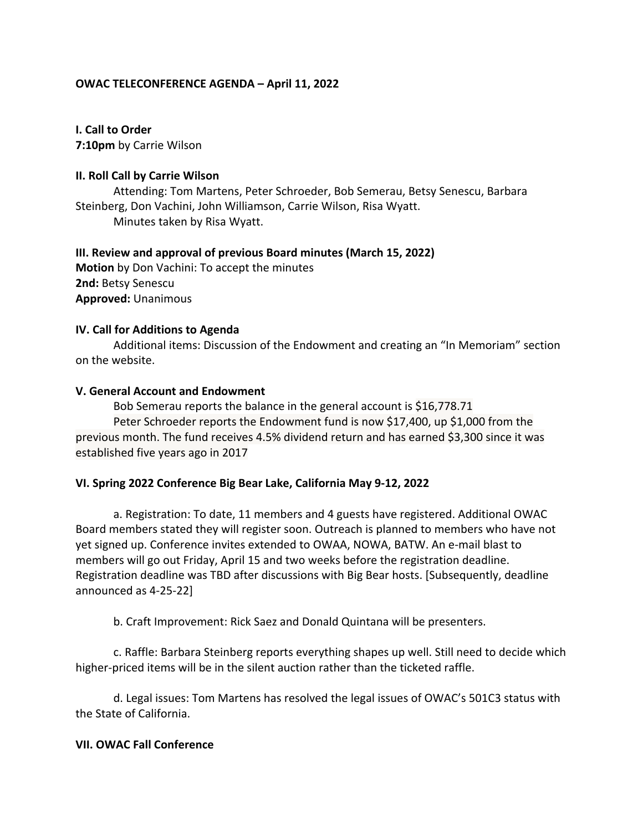# **OWAC TELECONFERENCE AGENDA – April 11, 2022**

**I. Call to Order**

**7:10pm** by Carrie Wilson

# **II. Roll Call by Carrie Wilson**

Attending: Tom Martens, Peter Schroeder, Bob Semerau, Betsy Senescu, Barbara Steinberg, Don Vachini, John Williamson, Carrie Wilson, Risa Wyatt. Minutes taken by Risa Wyatt.

**III. Review and approval of previous Board minutes (March 15, 2022) Motion** by Don Vachini: To accept the minutes **2nd:** Betsy Senescu **Approved:** Unanimous

## **IV. Call for Additions to Agenda**

Additional items: Discussion of the Endowment and creating an "In Memoriam" section on the website.

## **V. General Account and Endowment**

Bob Semerau reports the balance in the general account is \$16,778.71 Peter Schroeder reports the Endowment fund is now \$17,400, up \$1,000 from the previous month. The fund receives 4.5% dividend return and has earned \$3,300 since it was established five years ago in 2017

## **VI. Spring 2022 Conference Big Bear Lake, California May 9-12, 2022**

a. Registration: To date, 11 members and 4 guests have registered. Additional OWAC Board members stated they will register soon. Outreach is planned to members who have not yet signed up. Conference invites extended to OWAA, NOWA, BATW. An e-mail blast to members will go out Friday, April 15 and two weeks before the registration deadline. Registration deadline was TBD after discussions with Big Bear hosts. [Subsequently, deadline announced as 4-25-22]

b. Craft Improvement: Rick Saez and Donald Quintana will be presenters.

c. Raffle: Barbara Steinberg reports everything shapes up well. Still need to decide which higher-priced items will be in the silent auction rather than the ticketed raffle.

d. Legal issues: Tom Martens has resolved the legal issues of OWAC's 501C3 status with the State of California.

# **VII. OWAC Fall Conference**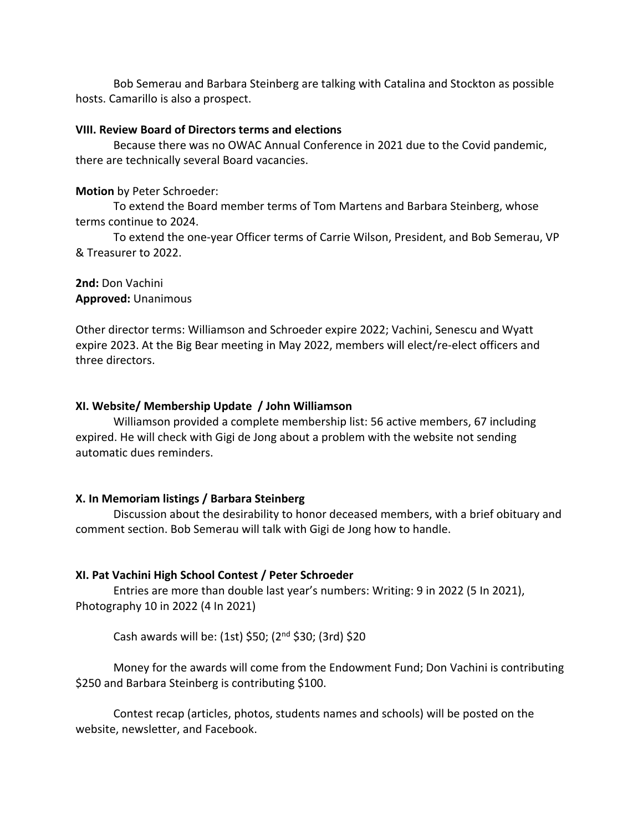Bob Semerau and Barbara Steinberg are talking with Catalina and Stockton as possible hosts. Camarillo is also a prospect.

## **VIII. Review Board of Directors terms and elections**

Because there was no OWAC Annual Conference in 2021 due to the Covid pandemic, there are technically several Board vacancies.

**Motion** by Peter Schroeder:

To extend the Board member terms of Tom Martens and Barbara Steinberg, whose terms continue to 2024.

To extend the one-year Officer terms of Carrie Wilson, President, and Bob Semerau, VP & Treasurer to 2022.

**2nd:** Don Vachini **Approved:** Unanimous

Other director terms: Williamson and Schroeder expire 2022; Vachini, Senescu and Wyatt expire 2023. At the Big Bear meeting in May 2022, members will elect/re-elect officers and three directors.

#### **XI. Website/ Membership Update / John Williamson**

Williamson provided a complete membership list: 56 active members, 67 including expired. He will check with Gigi de Jong about a problem with the website not sending automatic dues reminders.

## **X. In Memoriam listings / Barbara Steinberg**

Discussion about the desirability to honor deceased members, with a brief obituary and comment section. Bob Semerau will talk with Gigi de Jong how to handle.

## **XI. Pat Vachini High School Contest / Peter Schroeder**

Entries are more than double last year's numbers: Writing: 9 in 2022 (5 In 2021), Photography 10 in 2022 (4 In 2021)

Cash awards will be: (1st) \$50; ( $2<sup>nd</sup>$  \$30; (3rd) \$20

Money for the awards will come from the Endowment Fund; Don Vachini is contributing \$250 and Barbara Steinberg is contributing \$100.

Contest recap (articles, photos, students names and schools) will be posted on the website, newsletter, and Facebook.